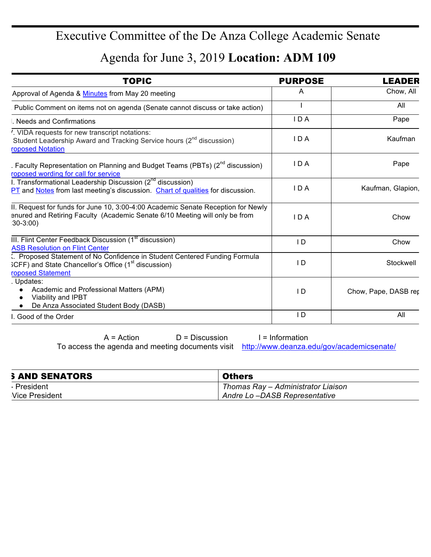## Executive Committee of the De Anza College Academic Senate

## Agenda for June 3, 2019 **Location: ADM 109**

| <b>TOPIC</b>                                                                                                                                                                 | <b>PURPOSE</b> | <b>LEADER</b>        |
|------------------------------------------------------------------------------------------------------------------------------------------------------------------------------|----------------|----------------------|
| Approval of Agenda & Minutes from May 20 meeting                                                                                                                             | A              | Chow, All            |
| Public Comment on items not on agenda (Senate cannot discuss or take action)                                                                                                 |                | All                  |
| . Needs and Confirmations                                                                                                                                                    | IDA            | Pape                 |
| '. VIDA requests for new transcript notations:<br>Student Leadership Award and Tracking Service hours (2 <sup>nd</sup> discussion)<br>roposed Notation                       | I D A          | Kaufman              |
| . Faculty Representation on Planning and Budget Teams (PBTs) $(2^{nd}$ discussion)<br>roposed wording for call for service                                                   | IDA            | Pape                 |
| I. Transformational Leadership Discussion (2 <sup>nd</sup> discussion)<br>PT and Notes from last meeting's discussion. Chart of qualities for discussion.                    | IDA            | Kaufman, Glapion,    |
| II. Request for funds for June 10, 3:00-4:00 Academic Senate Reception for Newly<br>enured and Retiring Faculty (Academic Senate 6/10 Meeting will only be from<br>$30-3:00$ | IDA            | Chow                 |
| III. Flint Center Feedback Discussion (1 <sup>st</sup> discussion)<br><b>ASB Resolution on Flint Center</b>                                                                  | I D            | Chow                 |
| Proposed Statement of No Confidence in Student Centered Funding Formula<br>$SCFF$ ) and State Chancellor's Office ( $1st$ discussion)<br>roposed Statement                   | I D            | Stockwell            |
| . Updates:<br>Academic and Professional Matters (APM)<br>Viability and IPBT<br>De Anza Associated Student Body (DASB)                                                        | I D            | Chow, Pape, DASB rep |
| Good of the Order                                                                                                                                                            | I D            | All                  |

 $A = Action$  D = Discussion I = Information

To access the agenda and meeting documents visit http://www.deanza.edu/gov/academicsenate/

| <b>SAND SENATORS</b>  | <b>Others</b>                      |
|-----------------------|------------------------------------|
| President             | Thomas Ray – Administrator Liaison |
| <b>Vice President</b> | Andre Lo-DASB Representative       |